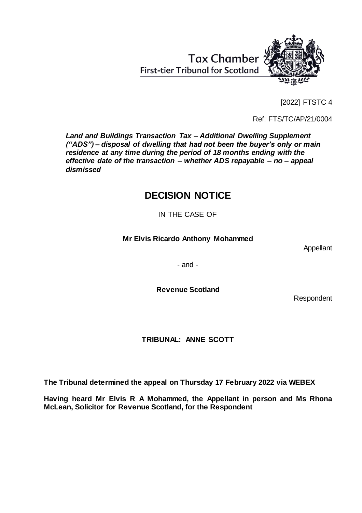[2022] FTSTC 4

Ref: FTS/TC/AP/21/0004

*Land and Buildings Transaction Tax – Additional Dwelling Supplement ("ADS") – disposal of dwelling that had not been the buyer's only or main residence at any time during the period of 18 months ending with the effective date of the transaction – whether ADS repayable – no – appeal dismissed*

**First-tier Tribunal for Scotland** 

# **DECISION NOTICE**

IN THE CASE OF

# **Mr Elvis Ricardo Anthony Mohammed**

Appellant

- and -

**Revenue Scotland**

Respondent

**TRIBUNAL: ANNE SCOTT**

**The Tribunal determined the appeal on Thursday 17 February 2022 via WEBEX**

**Having heard Mr Elvis R A Mohammed, the Appellant in person and Ms Rhona McLean, Solicitor for Revenue Scotland, for the Respondent**

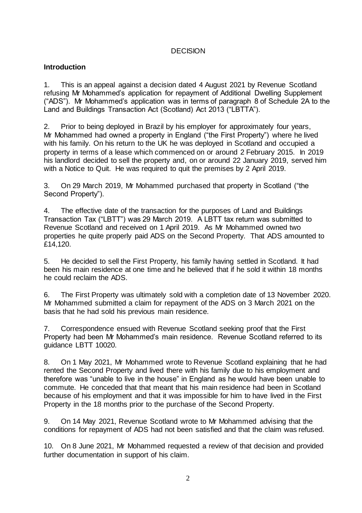## **DECISION**

## **Introduction**

1. This is an appeal against a decision dated 4 August 2021 by Revenue Scotland refusing Mr Mohammed's application for repayment of Additional Dwelling Supplement ("ADS"). Mr Mohammed's application was in terms of paragraph 8 of Schedule 2A to the Land and Buildings Transaction Act (Scotland) Act 2013 ("LBTTA").

2. Prior to being deployed in Brazil by his employer for approximately four years, Mr Mohammed had owned a property in England ("the First Property") where he lived with his family. On his return to the UK he was deployed in Scotland and occupied a property in terms of a lease which commenced on or around 2 February 2015. In 2019 his landlord decided to sell the property and, on or around 22 January 2019, served him with a Notice to Quit. He was required to quit the premises by 2 April 2019.

3. On 29 March 2019, Mr Mohammed purchased that property in Scotland ("the Second Property").

4. The effective date of the transaction for the purposes of Land and Buildings Transaction Tax ("LBTT") was 29 March 2019. A LBTT tax return was submitted to Revenue Scotland and received on 1 April 2019. As Mr Mohammed owned two properties he quite properly paid ADS on the Second Property. That ADS amounted to £14,120.

5. He decided to sell the First Property, his family having settled in Scotland. It had been his main residence at one time and he believed that if he sold it within 18 months he could reclaim the ADS.

6. The First Property was ultimately sold with a completion date of 13 November 2020. Mr Mohammed submitted a claim for repayment of the ADS on 3 March 2021 on the basis that he had sold his previous main residence.

7. Correspondence ensued with Revenue Scotland seeking proof that the First Property had been Mr Mohammed's main residence. Revenue Scotland referred to its guidance LBTT 10020.

8. On 1 May 2021, Mr Mohammed wrote to Revenue Scotland explaining that he had rented the Second Property and lived there with his family due to his employment and therefore was "unable to live in the house" in England as he would have been unable to commute. He conceded that that meant that his main residence had been in Scotland because of his employment and that it was impossible for him to have lived in the First Property in the 18 months prior to the purchase of the Second Property.

9. On 14 May 2021, Revenue Scotland wrote to Mr Mohammed advising that the conditions for repayment of ADS had not been satisfied and that the claim was refused.

10. On 8 June 2021, Mr Mohammed requested a review of that decision and provided further documentation in support of his claim.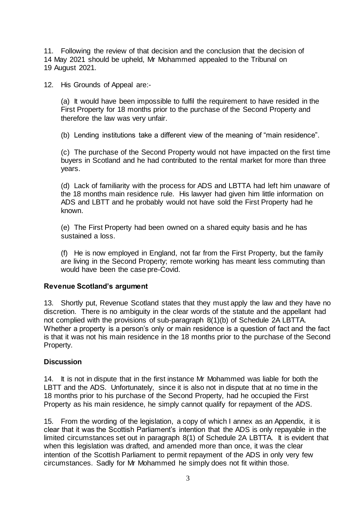11. Following the review of that decision and the conclusion that the decision of 14 May 2021 should be upheld, Mr Mohammed appealed to the Tribunal on 19 August 2021.

12. His Grounds of Appeal are:-

(a) It would have been impossible to fulfil the requirement to have resided in the First Property for 18 months prior to the purchase of the Second Property and therefore the law was very unfair.

(b) Lending institutions take a different view of the meaning of "main residence".

(c) The purchase of the Second Property would not have impacted on the first time buyers in Scotland and he had contributed to the rental market for more than three years.

(d) Lack of familiarity with the process for ADS and LBTTA had left him unaware of the 18 months main residence rule. His lawyer had given him little information on ADS and LBTT and he probably would not have sold the First Property had he known.

(e) The First Property had been owned on a shared equity basis and he has sustained a loss.

(f) He is now employed in England, not far from the First Property, but the family are living in the Second Property; remote working has meant less commuting than would have been the case pre-Covid.

## **Revenue Scotland's argument**

13. Shortly put, Revenue Scotland states that they must apply the law and they have no discretion. There is no ambiguity in the clear words of the statute and the appellant had not complied with the provisions of sub-paragraph 8(1)(b) of Schedule 2A LBTTA. Whether a property is a person's only or main residence is a question of fact and the fact is that it was not his main residence in the 18 months prior to the purchase of the Second Property.

#### **Discussion**

14. It is not in dispute that in the first instance Mr Mohammed was liable for both the LBTT and the ADS. Unfortunately, since it is also not in dispute that at no time in the 18 months prior to his purchase of the Second Property, had he occupied the First Property as his main residence, he simply cannot qualify for repayment of the ADS.

15. From the wording of the legislation, a copy of which I annex as an Appendix, it is clear that it was the Scottish Parliament's intention that the ADS is only repayable in the limited circumstances set out in paragraph 8(1) of Schedule 2A LBTTA. It is evident that when this legislation was drafted, and amended more than once, it was the clear intention of the Scottish Parliament to permit repayment of the ADS in only very few circumstances. Sadly for Mr Mohammed he simply does not fit within those.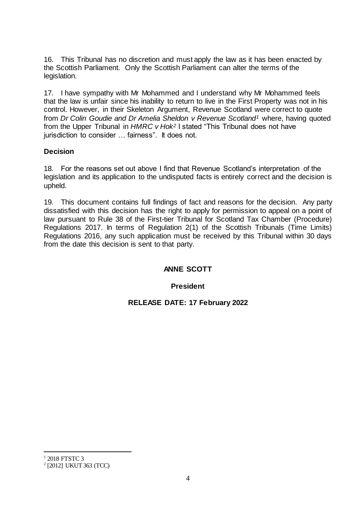16. This Tribunal has no discretion and must apply the law as it has been enacted by the Scottish Parliament. Only the Scottish Parliament can alter the terms of the legislation.

17. I have sympathy with Mr Mohammed and I understand why Mr Mohammed feels that the law is unfair since his inability to return to live in the First Property was not in his control. However, in their Skeleton Argument, Revenue Scotland were correct to quote from *Dr Colin Goudie and Dr Amelia Sheldon v Revenue Scotland<sup>1</sup>* where, having quoted from the Upper Tribunal in *HMRC v Hok<sup>2</sup>* I stated "This Tribunal does not have jurisdiction to consider … fairness". It does not.

## **Decision**

18. For the reasons set out above I find that Revenue Scotland's interpretation of the legislation and its application to the undisputed facts is entirely correct and the decision is upheld.

19. This document contains full findings of fact and reasons for the decision. Any party dissatisfied with this decision has the right to apply for permission to appeal on a point of law pursuant to Rule 38 of the First-tier Tribunal for Scotland Tax Chamber (Procedure) Regulations 2017. In terms of Regulation 2(1) of the Scottish Tribunals (Time Limits) Regulations 2016, any such application must be received by this Tribunal within 30 days from the date this decision is sent to that party.

# **ANNE SCOTT**

## **President**

**RELEASE DATE: 17 February 2022** 

l

<sup>1</sup> 2018 FTSTC 3

<sup>2</sup> [2012] UKUT 363 (TCC)